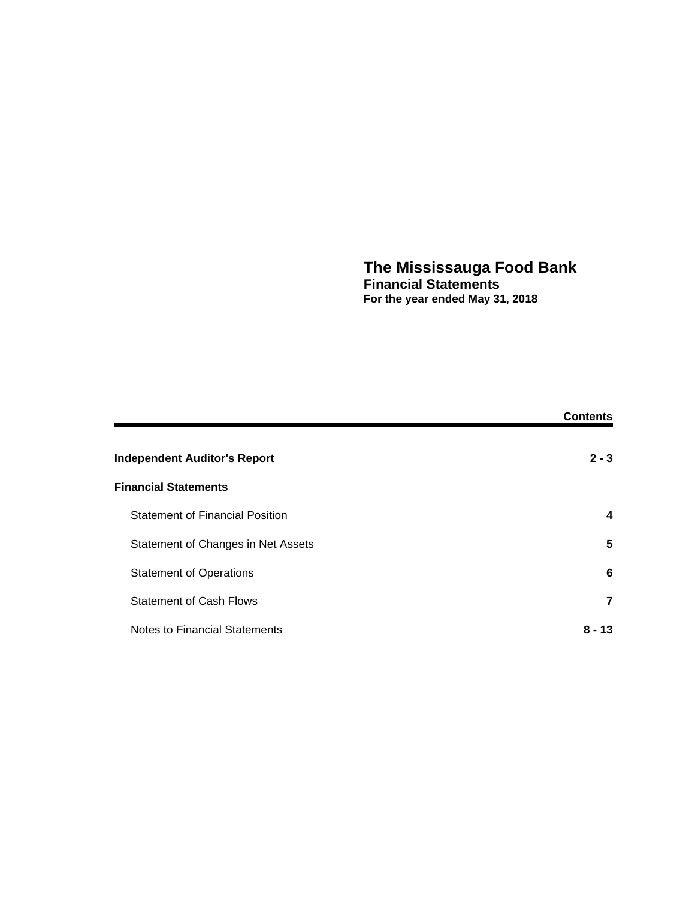### **The Mississauga Food Bank Financial Statements For the year ended May 31, 2018**

|                                        | <b>Contents</b> |
|----------------------------------------|-----------------|
| <b>Independent Auditor's Report</b>    | $2 - 3$         |
| <b>Financial Statements</b>            |                 |
| <b>Statement of Financial Position</b> | 4               |
| Statement of Changes in Net Assets     | 5               |
| <b>Statement of Operations</b>         | 6               |
| <b>Statement of Cash Flows</b>         | 7               |
| Notes to Financial Statements          | 8 - 13          |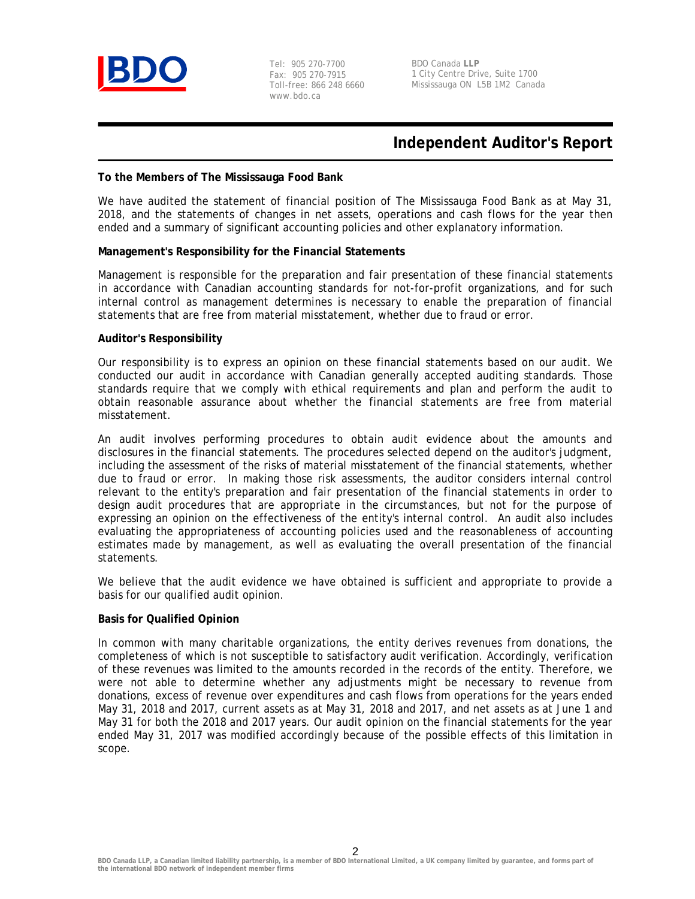

Tel: 905 270-7700 Fax: 905 270-7915 Toll-free: 866 248 6660 www.bdo.ca

BDO Canada **LLP** 1 City Centre Drive, Suite 1700 Mississauga ON L5B 1M2 Canada

# **Independent Auditor's Report**

### **To the Members of The Mississauga Food Bank**

We have audited the statement of financial position of The Mississauga Food Bank as at May 31, 2018, and the statements of changes in net assets, operations and cash flows for the year then ended and a summary of significant accounting policies and other explanatory information.

### **Management's Responsibility for the Financial Statements**

Management is responsible for the preparation and fair presentation of these financial statements in accordance with Canadian accounting standards for not-for-profit organizations, and for such internal control as management determines is necessary to enable the preparation of financial statements that are free from material misstatement, whether due to fraud or error.

#### **Auditor's Responsibility**

Our responsibility is to express an opinion on these financial statements based on our audit. We conducted our audit in accordance with Canadian generally accepted auditing standards. Those standards require that we comply with ethical requirements and plan and perform the audit to obtain reasonable assurance about whether the financial statements are free from material misstatement.

An audit involves performing procedures to obtain audit evidence about the amounts and disclosures in the financial statements. The procedures selected depend on the auditor's judgment, including the assessment of the risks of material misstatement of the financial statements, whether due to fraud or error. In making those risk assessments, the auditor considers internal control relevant to the entity's preparation and fair presentation of the financial statements in order to design audit procedures that are appropriate in the circumstances, but not for the purpose of expressing an opinion on the effectiveness of the entity's internal control. An audit also includes evaluating the appropriateness of accounting policies used and the reasonableness of accounting estimates made by management, as well as evaluating the overall presentation of the financial statements.

We believe that the audit evidence we have obtained is sufficient and appropriate to provide a basis for our qualified audit opinion.

### **Basis for Qualified Opinion**

In common with many charitable organizations, the entity derives revenues from donations, the completeness of which is not susceptible to satisfactory audit verification. Accordingly, verification of these revenues was limited to the amounts recorded in the records of the entity. Therefore, we were not able to determine whether any adjustments might be necessary to revenue from donations, excess of revenue over expenditures and cash flows from operations for the years ended May 31, 2018 and 2017, current assets as at May 31, 2018 and 2017, and net assets as at June 1 and May 31 for both the 2018 and 2017 years. Our audit opinion on the financial statements for the year ended May 31, 2017 was modified accordingly because of the possible effects of this limitation in scope.

2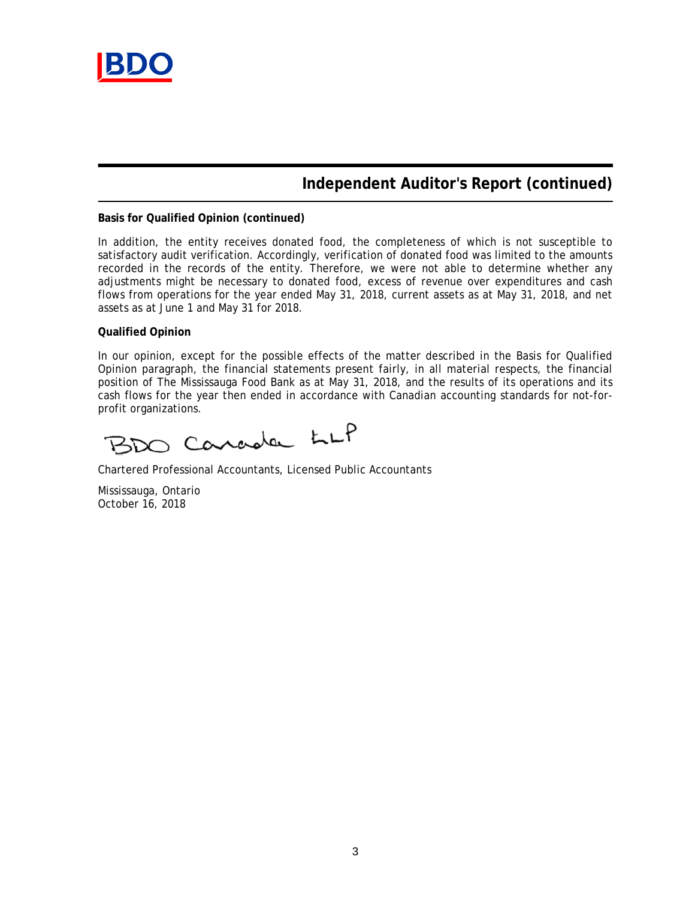

# **Independent Auditor's Report (continued)**

### **Basis for Qualified Opinion (continued)**

In addition, the entity receives donated food, the completeness of which is not susceptible to satisfactory audit verification. Accordingly, verification of donated food was limited to the amounts recorded in the records of the entity. Therefore, we were not able to determine whether any adjustments might be necessary to donated food, excess of revenue over expenditures and cash flows from operations for the year ended May 31, 2018, current assets as at May 31, 2018, and net assets as at June 1 and May 31 for 2018.

### **Qualified Opinion**

In our opinion, except for the possible effects of the matter described in the Basis for Qualified Opinion paragraph, the financial statements present fairly, in all material respects, the financial position of The Mississauga Food Bank as at May 31, 2018, and the results of its operations and its cash flows for the year then ended in accordance with Canadian accounting standards for not-forprofit organizations.

BDO Carada LLP

Chartered Professional Accountants, Licensed Public Accountants

Mississauga, Ontario October 16, 2018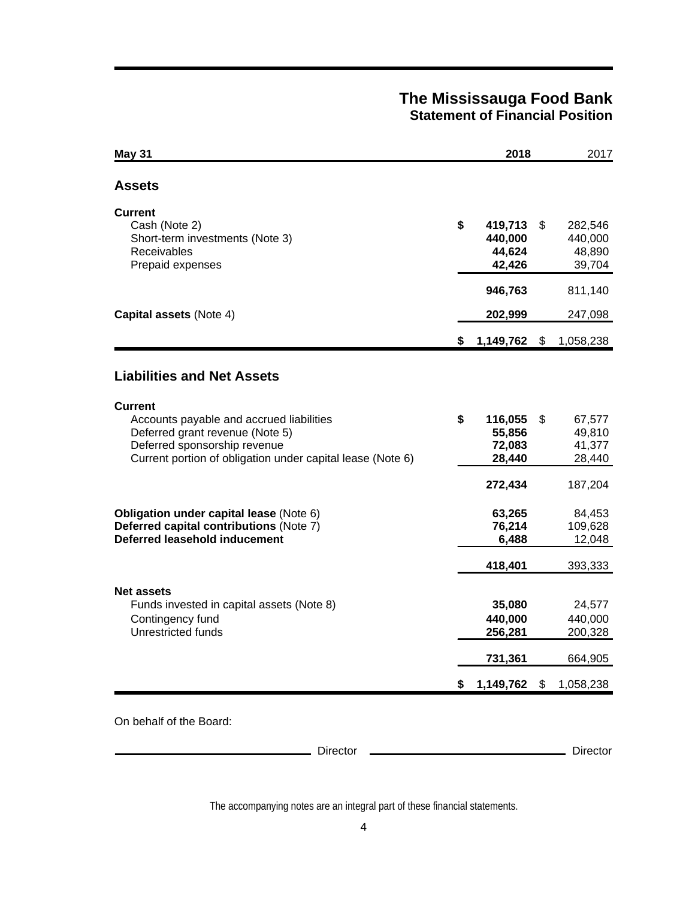# **The Mississauga Food Bank Statement of Financial Position**

| <b>May 31</b>                                                                                                                                                                               |    | 2018                                   | 2017                                         |
|---------------------------------------------------------------------------------------------------------------------------------------------------------------------------------------------|----|----------------------------------------|----------------------------------------------|
| Assets                                                                                                                                                                                      |    |                                        |                                              |
| <b>Current</b><br>Cash (Note 2)<br>Short-term investments (Note 3)<br>Receivables<br>Prepaid expenses                                                                                       | \$ | 419,713<br>440,000<br>44,624<br>42,426 | \$<br>282,546<br>440,000<br>48,890<br>39,704 |
|                                                                                                                                                                                             |    | 946,763                                | 811,140                                      |
| Capital assets (Note 4)                                                                                                                                                                     |    | 202,999                                | 247,098                                      |
|                                                                                                                                                                                             |    | 1,149,762                              | \$<br>1,058,238                              |
| <b>Liabilities and Net Assets</b>                                                                                                                                                           |    |                                        |                                              |
| <b>Current</b><br>Accounts payable and accrued liabilities<br>Deferred grant revenue (Note 5)<br>Deferred sponsorship revenue<br>Current portion of obligation under capital lease (Note 6) | \$ | 116,055<br>55,856<br>72,083<br>28,440  | \$<br>67,577<br>49,810<br>41,377<br>28,440   |
|                                                                                                                                                                                             |    | 272,434                                | 187,204                                      |
| Obligation under capital lease (Note 6)<br>Deferred capital contributions (Note 7)<br>Deferred leasehold inducement                                                                         |    | 63,265<br>76,214<br>6,488              | 84,453<br>109,628<br>12,048                  |
|                                                                                                                                                                                             |    | 418,401                                | 393,333                                      |
| <b>Net assets</b><br>Funds invested in capital assets (Note 8)<br>Contingency fund<br>Unrestricted funds                                                                                    |    | 35,080<br>440,000<br>256,281           | 24,577<br>440,000<br>200,328                 |
|                                                                                                                                                                                             |    | 731,361                                | 664,905                                      |
|                                                                                                                                                                                             | S  | 1,149,762                              | \$<br>1,058,238                              |

The accompanying notes are an integral part of these financial statements.

Director 2000 Director 2000 Director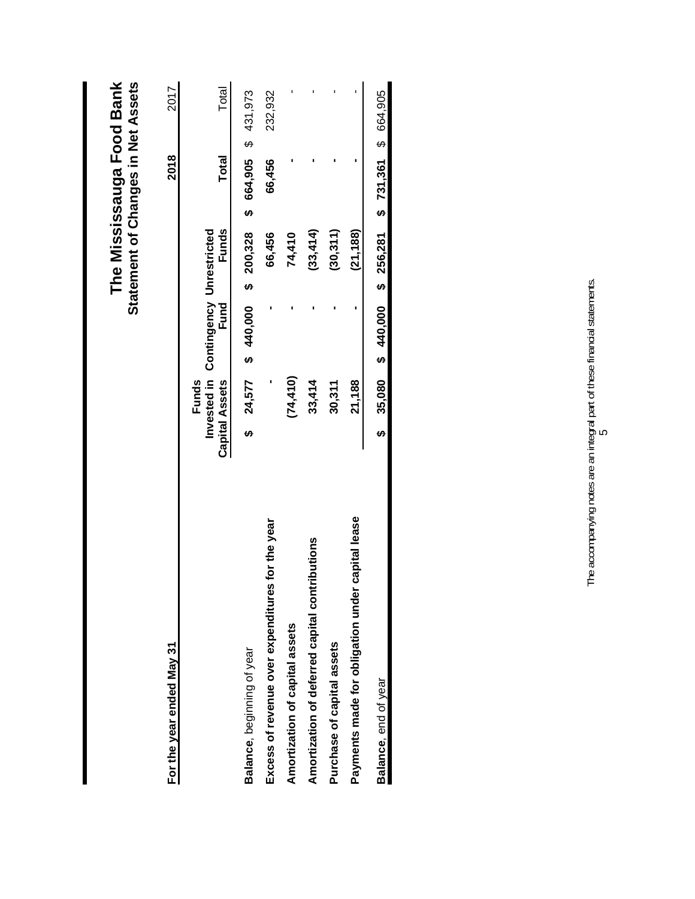|                                                  |                       |                                               |                       |           |        |              | The Mississauga Food Bank<br><b>Statement of Changes in Net Assets</b> |  |
|--------------------------------------------------|-----------------------|-----------------------------------------------|-----------------------|-----------|--------|--------------|------------------------------------------------------------------------|--|
| For the year ended May 31                        |                       |                                               |                       |           |        | 2018         | 2017                                                                   |  |
|                                                  | <b>Capital Assets</b> | Invested in Contingency Unrestricted<br>Funds | Fund                  | Funds     |        | <b>Total</b> | Total                                                                  |  |
| Balance, beginning of year                       |                       | 24,577                                        | $$40,000$$ \$ 200,328 |           |        |              | \$ 664,905 \$ 431,973                                                  |  |
| Excess of revenue over expenditures for the year |                       |                                               |                       | 66,456    | 66,456 |              | 232,932                                                                |  |
| Amortization of capital assets                   |                       | (74, 410)                                     |                       | 74,410    |        |              |                                                                        |  |
| Amortization of deferred capital contributions   |                       | 33,414                                        |                       | (33, 414) |        |              |                                                                        |  |
| Purchase of capital assets                       |                       | 30,311                                        |                       | (30, 311) |        |              |                                                                        |  |
| Payments made for obligation under capital lease |                       | 21,188                                        |                       | (21, 188) |        |              |                                                                        |  |
| Balance, end of year                             |                       |                                               |                       |           |        |              | $$35,080$ \$ 440,000 \$ 256,281 \$ 731,361 \$ 664,905                  |  |
|                                                  |                       |                                               |                       |           |        |              |                                                                        |  |

The accompanying notes are an integral part of these financial statements. The accompanying notes are an integral part of these financial statements.<br>5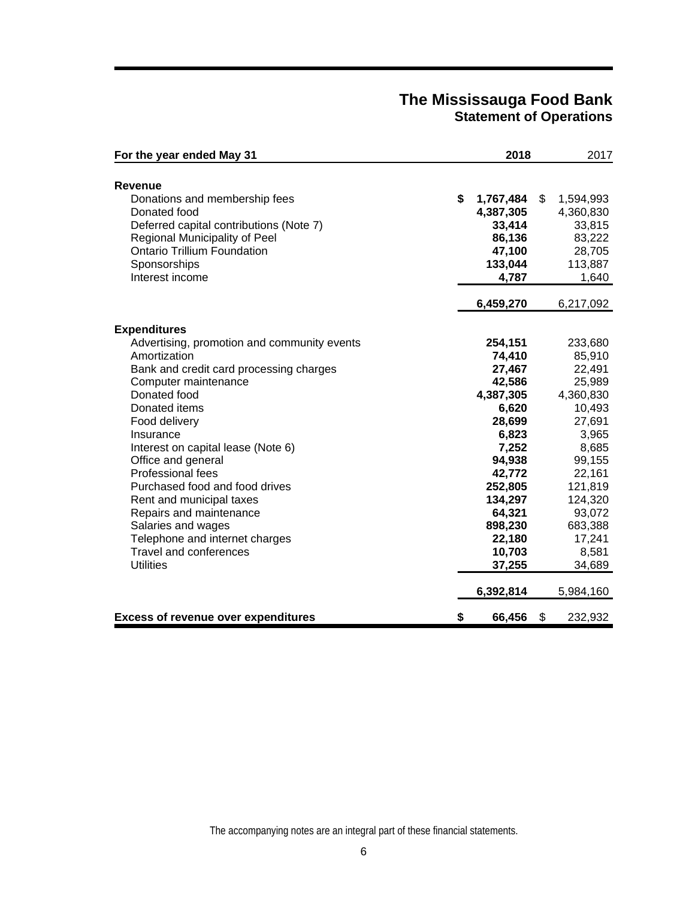## **The Mississauga Food Bank Statement of Operations**

| For the year ended May 31                                                                                                                                                                          | 2018                                                                                        | 2017                                                                                        |
|----------------------------------------------------------------------------------------------------------------------------------------------------------------------------------------------------|---------------------------------------------------------------------------------------------|---------------------------------------------------------------------------------------------|
| <b>Revenue</b>                                                                                                                                                                                     |                                                                                             |                                                                                             |
| Donations and membership fees<br>Donated food<br>Deferred capital contributions (Note 7)<br>Regional Municipality of Peel<br><b>Ontario Trillium Foundation</b><br>Sponsorships<br>Interest income | \$<br>1,767,484<br>4,387,305<br>33,414<br>86,136<br>47,100<br>133,044<br>4,787<br>6,459,270 | \$<br>1,594,993<br>4,360,830<br>33,815<br>83,222<br>28,705<br>113,887<br>1,640<br>6,217,092 |
|                                                                                                                                                                                                    |                                                                                             |                                                                                             |
| <b>Expenditures</b><br>Advertising, promotion and community events<br>Amortization                                                                                                                 | 254,151<br>74,410                                                                           | 233,680<br>85,910                                                                           |
| Bank and credit card processing charges<br>Computer maintenance                                                                                                                                    | 27,467<br>42,586                                                                            | 22,491<br>25,989                                                                            |
| Donated food<br>Donated items                                                                                                                                                                      | 4,387,305<br>6,620                                                                          | 4,360,830<br>10,493                                                                         |
| Food delivery<br>Insurance                                                                                                                                                                         | 28,699<br>6,823                                                                             | 27,691<br>3,965                                                                             |
| Interest on capital lease (Note 6)<br>Office and general                                                                                                                                           | 7,252<br>94,938                                                                             | 8,685<br>99,155                                                                             |
| Professional fees<br>Purchased food and food drives                                                                                                                                                | 42,772<br>252,805                                                                           | 22,161<br>121,819                                                                           |
| Rent and municipal taxes<br>Repairs and maintenance                                                                                                                                                | 134,297<br>64,321                                                                           | 124,320<br>93,072                                                                           |
| Salaries and wages<br>Telephone and internet charges<br><b>Travel and conferences</b>                                                                                                              | 898,230<br>22,180<br>10,703                                                                 | 683,388<br>17,241<br>8,581                                                                  |
| <b>Utilities</b>                                                                                                                                                                                   | 37,255                                                                                      | 34,689                                                                                      |
|                                                                                                                                                                                                    | 6,392,814                                                                                   | 5,984,160                                                                                   |
| <b>Excess of revenue over expenditures</b>                                                                                                                                                         | \$<br>66,456                                                                                | \$<br>232,932                                                                               |

The accompanying notes are an integral part of these financial statements.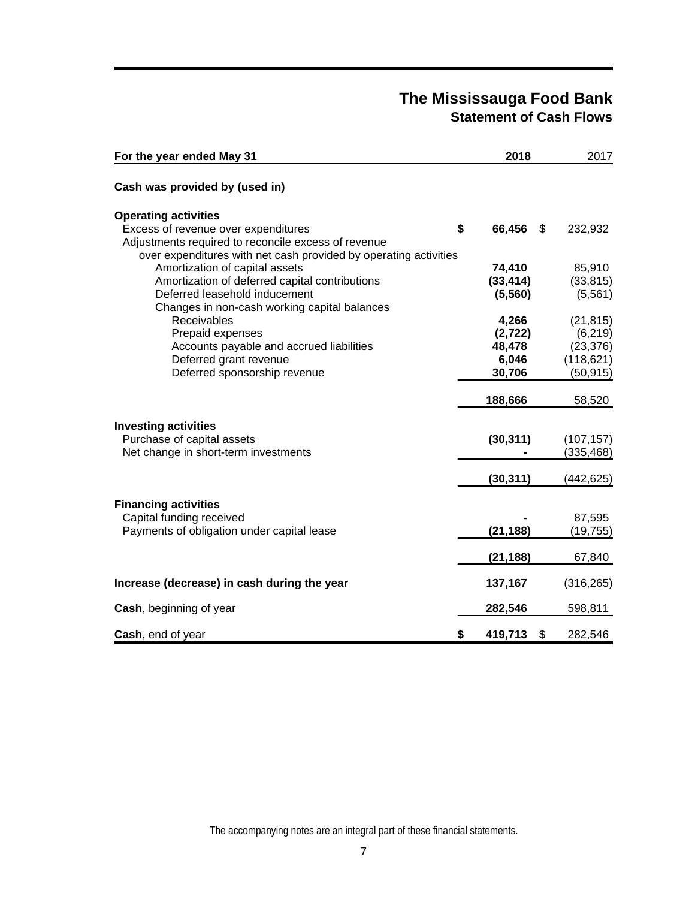# **The Mississauga Food Bank Statement of Cash Flows**

| For the year ended May 31                                                                                               | 2018                           | 2017                    |
|-------------------------------------------------------------------------------------------------------------------------|--------------------------------|-------------------------|
| Cash was provided by (used in)                                                                                          |                                |                         |
| <b>Operating activities</b>                                                                                             |                                |                         |
| Excess of revenue over expenditures                                                                                     | \$<br>66,456<br>$\mathfrak{S}$ | 232,932                 |
| Adjustments required to reconcile excess of revenue<br>over expenditures with net cash provided by operating activities |                                |                         |
| Amortization of capital assets                                                                                          | 74,410                         | 85,910                  |
| Amortization of deferred capital contributions                                                                          | (33, 414)                      | (33, 815)               |
| Deferred leasehold inducement                                                                                           | (5, 560)                       | (5, 561)                |
| Changes in non-cash working capital balances                                                                            |                                |                         |
| Receivables                                                                                                             | 4,266                          | (21, 815)               |
| Prepaid expenses                                                                                                        | (2, 722)                       | (6, 219)                |
| Accounts payable and accrued liabilities<br>Deferred grant revenue                                                      | 48,478<br>6,046                | (23, 376)<br>(118, 621) |
| Deferred sponsorship revenue                                                                                            | 30,706                         | (50, 915)               |
|                                                                                                                         |                                |                         |
|                                                                                                                         | 188,666                        | 58,520                  |
| <b>Investing activities</b>                                                                                             |                                |                         |
| Purchase of capital assets                                                                                              | (30, 311)                      | (107, 157)              |
| Net change in short-term investments                                                                                    |                                | (335, 468)              |
|                                                                                                                         |                                |                         |
|                                                                                                                         | (30, 311)                      | (442,625)               |
|                                                                                                                         |                                |                         |
| <b>Financing activities</b><br>Capital funding received                                                                 |                                | 87,595                  |
| Payments of obligation under capital lease                                                                              | (21, 188)                      | (19, 755)               |
|                                                                                                                         |                                |                         |
|                                                                                                                         | (21, 188)                      | 67,840                  |
| Increase (decrease) in cash during the year                                                                             | 137,167                        | (316, 265)              |
| Cash, beginning of year                                                                                                 | 282,546                        | 598,811                 |
| Cash, end of year                                                                                                       | \$<br>\$<br>419,713            | 282,546                 |

The accompanying notes are an integral part of these financial statements.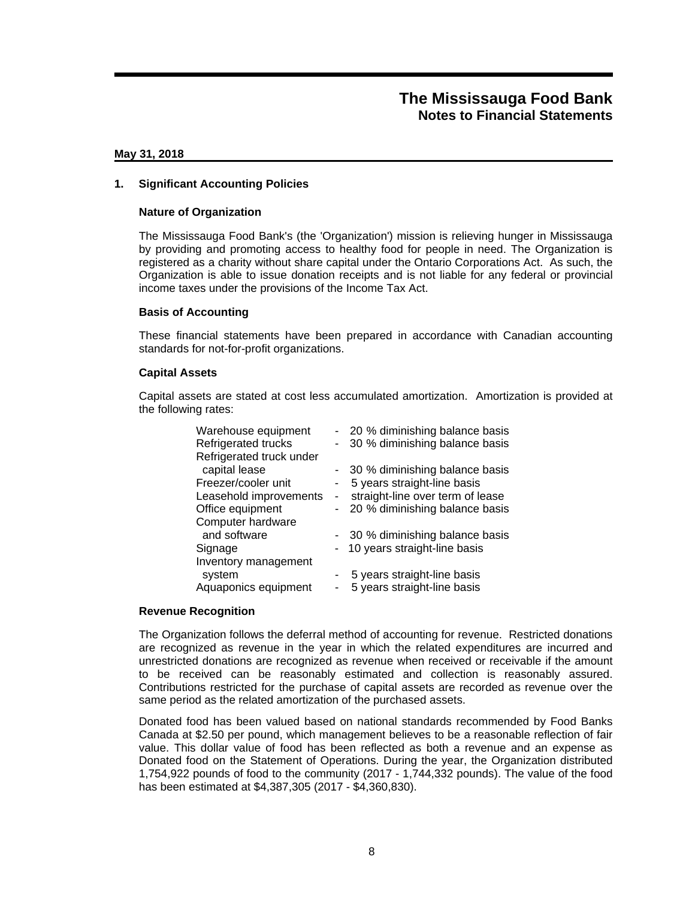### **May 31, 2018**

### **1. Significant Accounting Policies**

### **Nature of Organization**

The Mississauga Food Bank's (the 'Organization') mission is relieving hunger in Mississauga by providing and promoting access to healthy food for people in need. The Organization is registered as a charity without share capital under the Ontario Corporations Act. As such, the Organization is able to issue donation receipts and is not liable for any federal or provincial income taxes under the provisions of the Income Tax Act.

### **Basis of Accounting**

These financial statements have been prepared in accordance with Canadian accounting standards for not-for-profit organizations.

#### **Capital Assets**

Capital assets are stated at cost less accumulated amortization. Amortization is provided at the following rates:

| Warehouse equipment        |                          | - 20 % diminishing balance basis |
|----------------------------|--------------------------|----------------------------------|
| <b>Refrigerated trucks</b> | -                        | 30 % diminishing balance basis   |
| Refrigerated truck under   |                          |                                  |
| capital lease              |                          | - 30 % diminishing balance basis |
| Freezer/cooler unit        | ۰                        | 5 years straight-line basis      |
| Leasehold improvements     | $\overline{\phantom{a}}$ | straight-line over term of lease |
| Office equipment           | $\blacksquare$           | 20 % diminishing balance basis   |
| Computer hardware          |                          |                                  |
| and software               |                          | - 30 % diminishing balance basis |
| Signage                    |                          | 10 years straight-line basis     |
| Inventory management       |                          |                                  |
| system                     |                          | 5 years straight-line basis      |
| Aquaponics equipment       |                          | 5 years straight-line basis      |

### **Revenue Recognition**

The Organization follows the deferral method of accounting for revenue. Restricted donations are recognized as revenue in the year in which the related expenditures are incurred and unrestricted donations are recognized as revenue when received or receivable if the amount to be received can be reasonably estimated and collection is reasonably assured. Contributions restricted for the purchase of capital assets are recorded as revenue over the same period as the related amortization of the purchased assets.

Donated food has been valued based on national standards recommended by Food Banks Canada at \$2.50 per pound, which management believes to be a reasonable reflection of fair value. This dollar value of food has been reflected as both a revenue and an expense as Donated food on the Statement of Operations. During the year, the Organization distributed 1,754,922 pounds of food to the community (2017 - 1,744,332 pounds). The value of the food has been estimated at \$4,387,305 (2017 - \$4,360,830).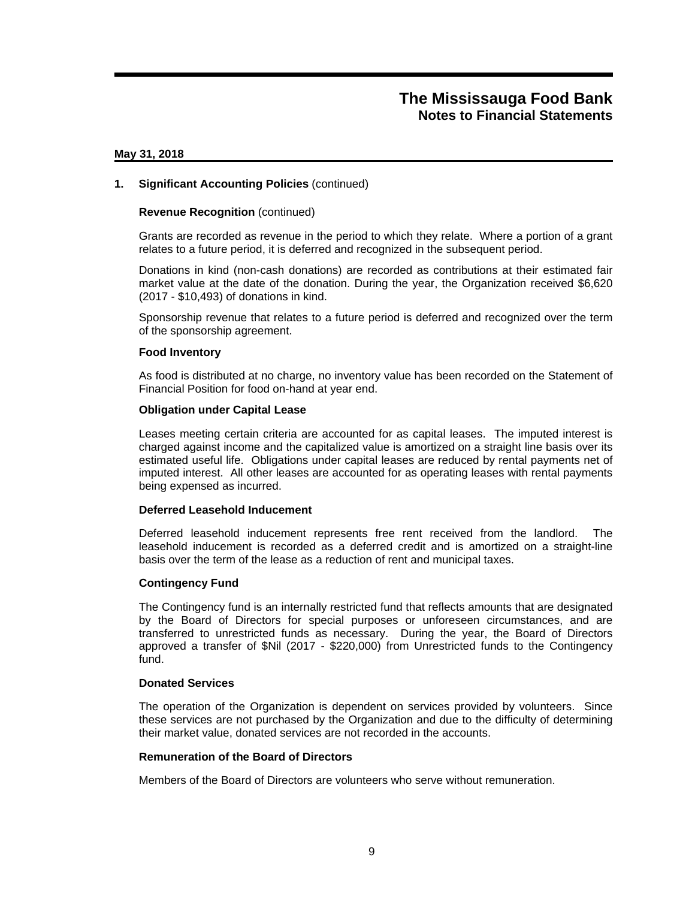#### **May 31, 2018**

### **1. Significant Accounting Policies** (continued)

### **Revenue Recognition** (continued)

Grants are recorded as revenue in the period to which they relate. Where a portion of a grant relates to a future period, it is deferred and recognized in the subsequent period.

Donations in kind (non-cash donations) are recorded as contributions at their estimated fair market value at the date of the donation. During the year, the Organization received \$6,620 (2017 - \$10,493) of donations in kind.

Sponsorship revenue that relates to a future period is deferred and recognized over the term of the sponsorship agreement.

#### **Food Inventory**

As food is distributed at no charge, no inventory value has been recorded on the Statement of Financial Position for food on-hand at year end.

#### **Obligation under Capital Lease**

Leases meeting certain criteria are accounted for as capital leases. The imputed interest is charged against income and the capitalized value is amortized on a straight line basis over its estimated useful life. Obligations under capital leases are reduced by rental payments net of imputed interest. All other leases are accounted for as operating leases with rental payments being expensed as incurred.

#### **Deferred Leasehold Inducement**

Deferred leasehold inducement represents free rent received from the landlord. The leasehold inducement is recorded as a deferred credit and is amortized on a straight-line basis over the term of the lease as a reduction of rent and municipal taxes.

#### **Contingency Fund**

The Contingency fund is an internally restricted fund that reflects amounts that are designated by the Board of Directors for special purposes or unforeseen circumstances, and are transferred to unrestricted funds as necessary. During the year, the Board of Directors approved a transfer of \$Nil (2017 - \$220,000) from Unrestricted funds to the Contingency fund.

#### **Donated Services**

The operation of the Organization is dependent on services provided by volunteers. Since these services are not purchased by the Organization and due to the difficulty of determining their market value, donated services are not recorded in the accounts.

### **Remuneration of the Board of Directors**

Members of the Board of Directors are volunteers who serve without remuneration.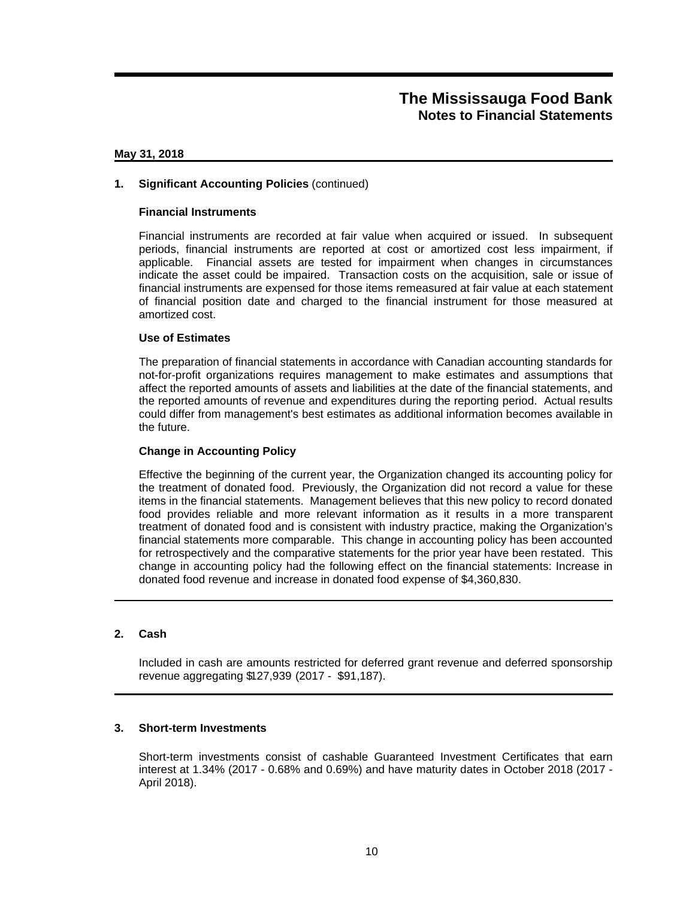### **May 31, 2018**

### **1. Significant Accounting Policies** (continued)

### **Financial Instruments**

Financial instruments are recorded at fair value when acquired or issued. In subsequent periods, financial instruments are reported at cost or amortized cost less impairment, if applicable. Financial assets are tested for impairment when changes in circumstances indicate the asset could be impaired. Transaction costs on the acquisition, sale or issue of financial instruments are expensed for those items remeasured at fair value at each statement of financial position date and charged to the financial instrument for those measured at amortized cost.

### **Use of Estimates**

The preparation of financial statements in accordance with Canadian accounting standards for not-for-profit organizations requires management to make estimates and assumptions that affect the reported amounts of assets and liabilities at the date of the financial statements, and the reported amounts of revenue and expenditures during the reporting period. Actual results could differ from management's best estimates as additional information becomes available in the future.

### **Change in Accounting Policy**

Effective the beginning of the current year, the Organization changed its accounting policy for the treatment of donated food. Previously, the Organization did not record a value for these items in the financial statements. Management believes that this new policy to record donated food provides reliable and more relevant information as it results in a more transparent treatment of donated food and is consistent with industry practice, making the Organization's financial statements more comparable. This change in accounting policy has been accounted for retrospectively and the comparative statements for the prior year have been restated. This change in accounting policy had the following effect on the financial statements: Increase in donated food revenue and increase in donated food expense of \$4,360,830.

### **2. Cash**

Included in cash are amounts restricted for deferred grant revenue and deferred sponsorship revenue aggregating \$127,939 (2017 - \$91,187).

### **3. Short-term Investments**

Short-term investments consist of cashable Guaranteed Investment Certificates that earn interest at 1.34% (2017 - 0.68% and 0.69%) and have maturity dates in October 2018 (2017 - April 2018).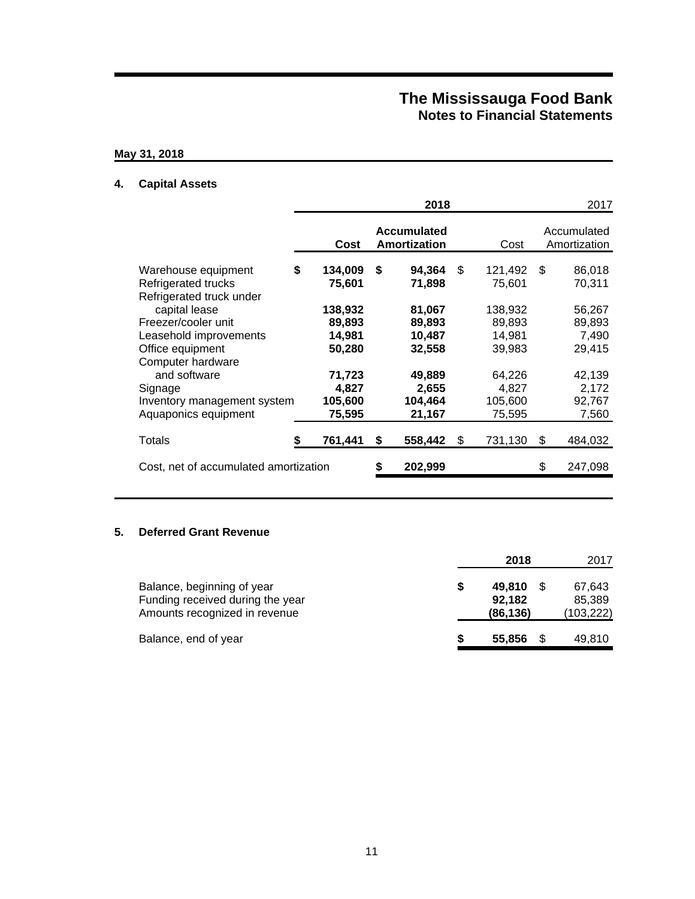## **May 31, 2018**

## **4. Capital Assets**

|                                                                                                     |    |                                       |    | 2018                                 |     |                                       |     | 2017                                |
|-----------------------------------------------------------------------------------------------------|----|---------------------------------------|----|--------------------------------------|-----|---------------------------------------|-----|-------------------------------------|
|                                                                                                     |    | Cost                                  |    | <b>Accumulated</b><br>Amortization   |     | Cost                                  |     | Accumulated<br>Amortization         |
| Warehouse equipment<br>Refrigerated trucks<br>Refrigerated truck under                              | \$ | 134,009<br>75,601                     | \$ | 94,364<br>71,898                     | \$  | 121,492<br>75,601                     | \$. | 86,018<br>70,311                    |
| capital lease<br>Freezer/cooler unit<br>Leasehold improvements<br>Office equipment                  |    | 138,932<br>89,893<br>14,981<br>50,280 |    | 81,067<br>89,893<br>10,487<br>32,558 |     | 138,932<br>89,893<br>14.981<br>39,983 |     | 56,267<br>89,893<br>7,490<br>29,415 |
| Computer hardware<br>and software<br>Signage<br>Inventory management system<br>Aquaponics equipment |    | 71,723<br>4,827<br>105,600<br>75,595  |    | 49,889<br>2,655<br>104,464<br>21,167 |     | 64,226<br>4,827<br>105,600<br>75,595  |     | 42,139<br>2,172<br>92,767<br>7,560  |
| Totals                                                                                              | S  | 761,441                               | S  | 558,442                              | \$. | 731,130                               | \$  | 484,032                             |
| Cost, net of accumulated amortization                                                               |    |                                       | S  | 202,999                              |     |                                       | \$  | 247,098                             |

### **5. Deferred Grant Revenue**

|                                                                                                 |   | 2018                         | 2017                           |
|-------------------------------------------------------------------------------------------------|---|------------------------------|--------------------------------|
| Balance, beginning of year<br>Funding received during the year<br>Amounts recognized in revenue | S | 49.810<br>92,182<br>(86,136) | 67.643<br>85.389<br>(103, 222) |
| Balance, end of year                                                                            |   | 55,856                       | 49,810                         |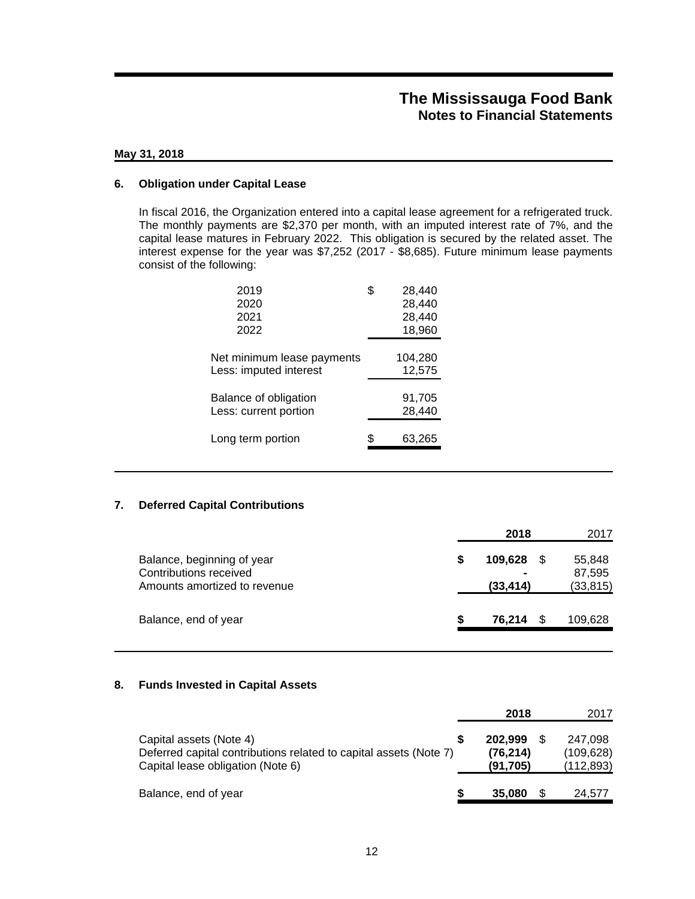### **May 31, 2018**

### **6. Obligation under Capital Lease**

In fiscal 2016, the Organization entered into a capital lease agreement for a refrigerated truck. The monthly payments are \$2,370 per month, with an imputed interest rate of 7%, and the capital lease matures in February 2022. This obligation is secured by the related asset. The interest expense for the year was \$7,252 (2017 - \$8,685). Future minimum lease payments consist of the following:

| 2019                       | \$<br>28,440 |
|----------------------------|--------------|
| 2020                       | 28,440       |
| 2021                       | 28,440       |
| 2022                       | 18,960       |
|                            |              |
| Net minimum lease payments | 104,280      |
| Less: imputed interest     | 12,575       |
|                            |              |
| Balance of obligation      | 91,705       |
| Less: current portion      | 28,440       |
|                            |              |
| Long term portion          | \$<br>63,265 |
|                            |              |

### **7. Deferred Capital Contributions**

|                                                                                      |   | 2018                                   | 2017                          |
|--------------------------------------------------------------------------------------|---|----------------------------------------|-------------------------------|
| Balance, beginning of year<br>Contributions received<br>Amounts amortized to revenue | S | 109,628<br>$\blacksquare$<br>(33, 414) | 55,848<br>87,595<br>(33, 815) |
| Balance, end of year                                                                 | S | 76.214                                 | 109,628                       |

### **8. Funds Invested in Capital Assets**

|                                                                                                                                   |   | 2018                             | 2017                                |
|-----------------------------------------------------------------------------------------------------------------------------------|---|----------------------------------|-------------------------------------|
| Capital assets (Note 4)<br>Deferred capital contributions related to capital assets (Note 7)<br>Capital lease obligation (Note 6) |   | 202.999<br>(76, 214)<br>(91.705) | 247.098<br>(109, 628)<br>(112, 893) |
| Balance, end of year                                                                                                              | S | 35,080                           | 24.577                              |